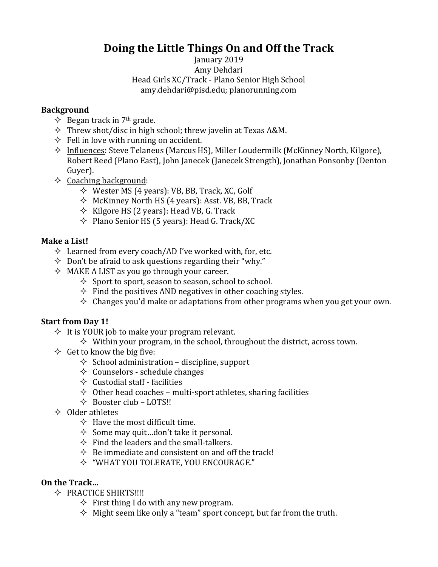# **Doing the Little Things On and Off the Track**

#### January 2019 Amy Dehdari Head Girls XC/Track - Plano Senior High School amy.dehdari@pisd.edu; planorunning.com

### **Background**

- $\Diamond$  Began track in 7<sup>th</sup> grade.
- $\Diamond$  Threw shot/disc in high school; threw javelin at Texas A&M.
- $\Diamond$  Fell in love with running on accident.
- $\Diamond$  Influences: Steve Telaneus (Marcus HS), Miller Loudermilk (McKinney North, Kilgore), Robert Reed (Plano East), John Janecek (Janecek Strength), Jonathan Ponsonby (Denton Guyer).
- $\Diamond$  Coaching background:
	- $\Diamond$  Wester MS (4 years): VB, BB, Track, XC, Golf
	- $\Diamond$  McKinney North HS (4 years): Asst. VB, BB, Track
	- $\Diamond$  Kilgore HS (2 years): Head VB, G. Track
	- $\Diamond$  Plano Senior HS (5 years): Head G. Track/XC

## **Make a List!**

- $\Diamond$  Learned from every coach/AD I've worked with, for, etc.
- $\Diamond$  Don't be afraid to ask questions regarding their "why."
- $\Diamond$  MAKE A LIST as you go through your career.
	- $\Diamond$  Sport to sport, season to season, school to school.
	- $\Diamond$  Find the positives AND negatives in other coaching styles.
	- $\Diamond$  Changes you'd make or adaptations from other programs when you get your own.

## **Start from Day 1!**

- $\Diamond$  It is YOUR job to make your program relevant.
	- $\Diamond$  Within your program, in the school, throughout the district, across town.
- $\Diamond$  Get to know the big five:
	- $\Diamond$  School administration discipline, support
	- $\Diamond$  Counselors schedule changes
	- $\Diamond$  Custodial staff facilities
	- $\Diamond$  Other head coaches multi-sport athletes, sharing facilities
	- $\triangle$  Booster club LOTS!!
- $\Diamond$  Older athletes
	- $\Diamond$  Have the most difficult time.
	- $\Diamond$  Some may quit...don't take it personal.
	- $\Diamond$  Find the leaders and the small-talkers.
	- $\Diamond$  Be immediate and consistent on and off the track!
	- $\Diamond$  "WHAT YOU TOLERATE, YOU ENCOURAGE."

## **On the Track**

- $\Diamond$  PRACTICE SHIRTS!!!!
	- $\Diamond$  First thing I do with any new program.
	- $\Diamond$  Might seem like only a "team" sport concept, but far from the truth.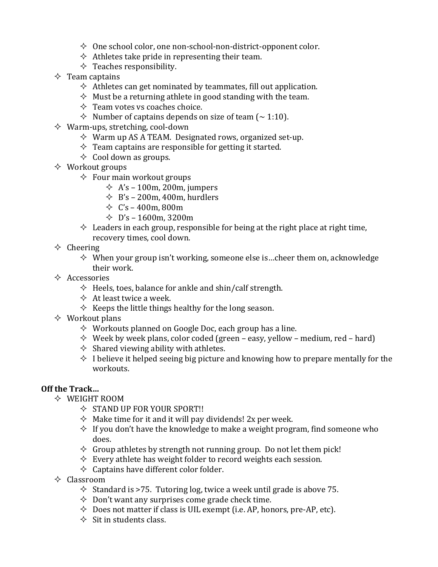- $\Diamond$  One school color, one non-school-non-district-opponent color.
- $\Diamond$  Athletes take pride in representing their team.
- $\Diamond$  Teaches responsibility.
- $\Diamond$  Team captains
	- $\Diamond$  Athletes can get nominated by teammates, fill out application.
	- $\Diamond$  Must be a returning athlete in good standing with the team.
	- $\Diamond$  Team votes vs coaches choice.
	- $\Diamond$  Number of captains depends on size of team ( $\sim$  1:10).
- $\Diamond$  Warm-ups, stretching, cool-down
	- $\Diamond$  Warm up AS A TEAM. Designated rows, organized set-up.
	- $\Diamond$  Team captains are responsible for getting it started.
	- $\Diamond$  Cool down as groups.
- $\Diamond$  Workout groups
	- $\Diamond$  Four main workout groups
		- $\div$  A's 100m, 200m, jumpers
		- $\div$  B's 200m, 400m, hurdlers
		- $\div$  C's 400m, 800m
		- $\div$  D's 1600m, 3200m
	- $\Diamond$  Leaders in each group, responsible for being at the right place at right time, recovery times, cool down.
- $\Diamond$  Cheering
	- $\Diamond$  When your group isn't working, someone else is...cheer them on, acknowledge their work.
- $\Diamond$  Accessories
	- $\Diamond$  Heels, toes, balance for ankle and shin/calf strength.
	- $\Diamond$  At least twice a week.
	- $\Diamond$  Keeps the little things healthy for the long season.
- $\Diamond$  Workout plans
	- $\Diamond$  Workouts planned on Google Doc, each group has a line.
	- $\Diamond$  Week by week plans, color coded (green easy, yellow medium, red hard)
	- $\Diamond$  Shared viewing ability with athletes.
	- $\Diamond$  I believe it helped seeing big picture and knowing how to prepare mentally for the workouts.

## **Off the Track…**

- $\Diamond$  WEIGHT ROOM
	- $\Diamond$  STAND UP FOR YOUR SPORT!!
	- $\Diamond$  Make time for it and it will pay dividends! 2x per week.
	- $\Diamond$  If you don't have the knowledge to make a weight program, find someone who does.
	- $\Diamond$  Group athletes by strength not running group. Do not let them pick!
	- $\Diamond$  Every athlete has weight folder to record weights each session.
	- $\Diamond$  Captains have different color folder.
- $\Diamond$  Classroom
	- $\Diamond$  Standard is >75. Tutoring log, twice a week until grade is above 75.
	- $\Diamond$  Don't want any surprises come grade check time.
	- $\Diamond$  Does not matter if class is UIL exempt (i.e. AP, honors, pre-AP, etc).
	- $\Diamond$  Sit in students class.